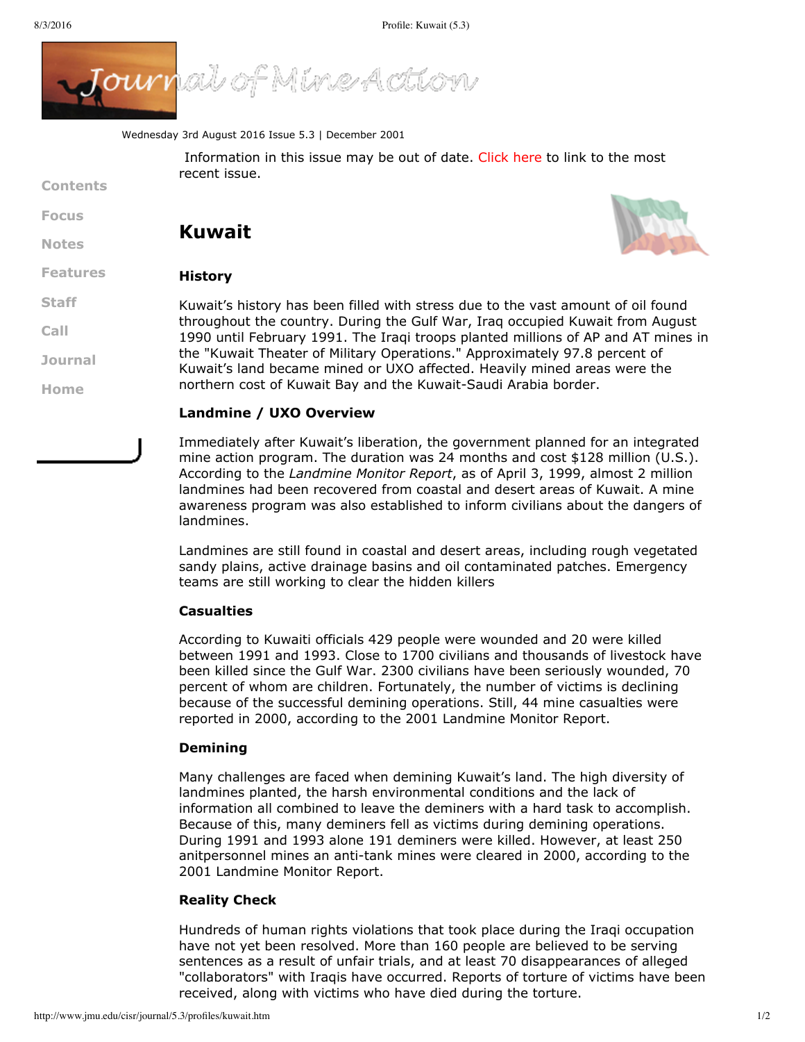**[Contents](http://www.jmu.edu/cisr/journal/5.3/index.htm)**

**[Focus](http://www.jmu.edu/cisr/journal/5.3/index.htm#focus)**

**[Notes](http://www.jmu.edu/cisr/journal/5.3/index.htm#notes)**

**[Staff](http://www.jmu.edu/cisr/staff/index.shtml)**

**[Call](http://www.jmu.edu/cisr/journal/cfps.shtml)**

**[Journal](http://www.jmu.edu/cisr/journal/past-issues.shtml)**

**[Home](http://www.jmu.edu/cisr)**



Wednesday 3rd August 2016 Issue 5.3 | December 2001

Information in this issue may be out of date. [Click](http://www.jmu.edu/cisr/journal/current.shtml) here to link to the most recent issue.

# **Kuwait**



#### **[Features](http://www.jmu.edu/cisr/journal/5.3/index.htm#feature) History**

Kuwait's history has been filled with stress due to the vast amount of oil found throughout the country. During the Gulf War, Iraq occupied Kuwait from August 1990 until February 1991. The Iraqi troops planted millions of AP and AT mines in the "Kuwait Theater of Military Operations." Approximately 97.8 percent of Kuwait's land became mined or UXO affected. Heavily mined areas were the northern cost of Kuwait Bay and the Kuwait-Saudi Arabia border.

#### **Landmine / UXO Overview**

Immediately after Kuwait's liberation, the government planned for an integrated mine action program. The duration was 24 months and cost \$128 million (U.S.). According to the *Landmine Monitor Report*, as of April 3, 1999, almost 2 million landmines had been recovered from coastal and desert areas of Kuwait. A mine awareness program was also established to inform civilians about the dangers of landmines.

Landmines are still found in coastal and desert areas, including rough vegetated sandy plains, active drainage basins and oil contaminated patches. Emergency teams are still working to clear the hidden killers

#### **Casualties**

According to Kuwaiti officials 429 people were wounded and 20 were killed between 1991 and 1993. Close to 1700 civilians and thousands of livestock have been killed since the Gulf War. 2300 civilians have been seriously wounded, 70 percent of whom are children. Fortunately, the number of victims is declining because of the successful demining operations. Still, 44 mine casualties were reported in 2000, according to the 2001 Landmine Monitor Report.

## **Demining**

Many challenges are faced when demining Kuwait's land. The high diversity of landmines planted, the harsh environmental conditions and the lack of information all combined to leave the deminers with a hard task to accomplish. Because of this, many deminers fell as victims during demining operations. During 1991 and 1993 alone 191 deminers were killed. However, at least 250 anitpersonnel mines an anti-tank mines were cleared in 2000, according to the 2001 Landmine Monitor Report.

### **Reality Check**

Hundreds of human rights violations that took place during the Iraqi occupation have not yet been resolved. More than 160 people are believed to be serving sentences as a result of unfair trials, and at least 70 disappearances of alleged "collaborators" with Iraqis have occurred. Reports of torture of victims have been received, along with victims who have died during the torture.